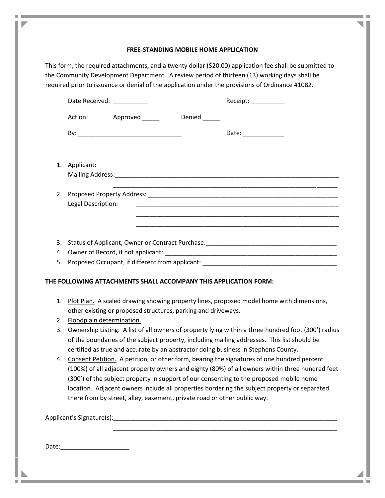## **FREE-STANDING MOBILE HOME APPLICATION**

This form, the required attachments, and a twenty dollar (\$20.00) application fee shall be submitted to the Community Development Department. A review period of thirteen (13) working days shall be required prior to issuance or denial of the application under the provisions of Ordinance #1082.

|         | Date Received: _________                                                                                                                                  |  | Receipt:             |
|---------|-----------------------------------------------------------------------------------------------------------------------------------------------------------|--|----------------------|
|         | Action: Approved ______ Denied _____                                                                                                                      |  |                      |
|         |                                                                                                                                                           |  | Date: ______________ |
|         |                                                                                                                                                           |  |                      |
|         |                                                                                                                                                           |  |                      |
|         | <u> 1989 - Johann Stoff, deutscher Stoff, der Stoff, der Stoff, der Stoff, der Stoff, der Stoff, der Stoff, der S</u><br>Legal Description:               |  |                      |
|         |                                                                                                                                                           |  |                      |
|         |                                                                                                                                                           |  |                      |
|         |                                                                                                                                                           |  |                      |
|         |                                                                                                                                                           |  |                      |
|         |                                                                                                                                                           |  |                      |
|         | THE FOLLOWING ATTACHMENTS SHALL ACCOMPANY THIS APPLICATION FORM:                                                                                          |  |                      |
| $1_{-}$ | Plot Plan. A scaled drawing showing property lines, proposed model home with dimensions,<br>other existing or proposed structures, parking and driveways. |  |                      |

- 2. Floodplain determination.
- 3. Ownership Listing. A list of all owners of property lying within a three hundred foot (300') radius of the boundaries of the subject property, including mailing addresses. This list should be certified as true and accurate by an abstractor doing business in Stephens County.
- 4. Consent Petition. A petition, or other form, bearing the signatures of one hundred percent (100%) of all adjacent property owners and eighty (80%) of all owners within three hundred feet (300') of the subject property in support of our consenting to the proposed mobile home location. Adjacent owners include all properties bordering the subject property or separated there from by street, alley, easement, private road or other public way.

\_\_\_\_\_\_\_\_\_\_\_\_\_\_\_\_\_\_\_\_\_\_\_\_\_\_\_\_\_\_\_\_\_\_\_\_\_\_\_\_\_\_\_\_\_\_\_\_\_\_\_\_\_\_\_\_\_\_\_\_\_\_\_\_\_

Applicant's Signature(s):

Date:\_\_\_\_\_\_\_\_\_\_\_\_\_\_\_\_\_\_\_\_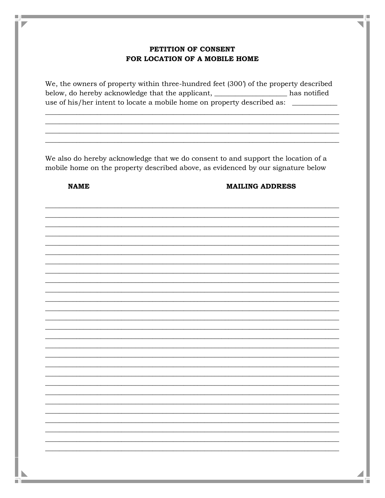## PETITION OF CONSENT FOR LOCATION OF A MOBILE HOME

We, the owners of property within three-hundred feet (300') of the property described below, do hereby acknowledge that the applicant, \_\_\_\_\_\_\_\_\_\_\_\_\_\_\_\_\_ has notified use of his/her intent to locate a mobile home on property described as: \_\_\_\_\_\_\_\_\_

We also do hereby acknowledge that we do consent to and support the location of a mobile home on the property described above, as evidenced by our signature below

**NAME** 

۵J.

٠

## **MAILING ADDRESS**